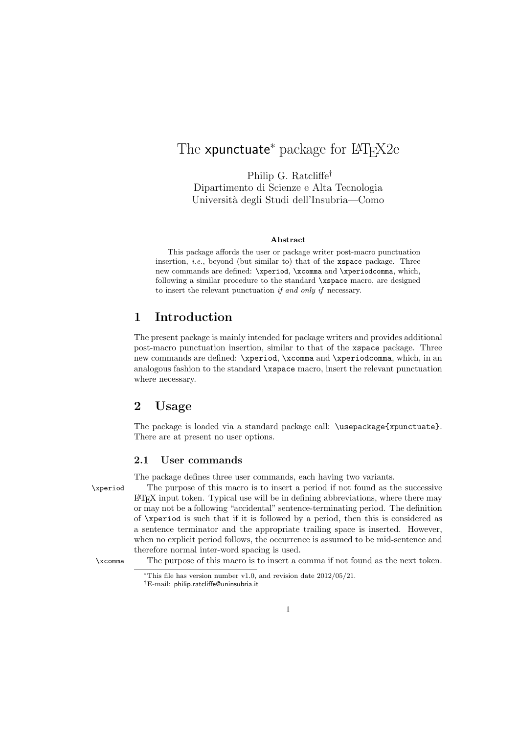# The **xpunctuate**<sup>∗</sup> package for LAT<sub>F</sub>X2e

Philip G. Ratcliffe† Dipartimento di Scienze e Alta Tecnologia Universit`a degli Studi dell'Insubria—Como

#### Abstract

This package affords the user or package writer post-macro punctuation insertion, *i.e.*, beyond (but similar to) that of the xspace package. Three new commands are defined: \xperiod, \xcomma and \xperiodcomma, which, following a similar procedure to the standard \xspace macro, are designed to insert the relevant punctuation if and only if necessary.

### 1 Introduction

The present package is mainly intended for package writers and provides additional post-macro punctuation insertion, similar to that of the xspace package. Three new commands are defined: \xperiod, \xcomma and \xperiodcomma, which, in an analogous fashion to the standard \xspace macro, insert the relevant punctuation where necessary.

## 2 Usage

The package is loaded via a standard package call: \usepackage{xpunctuate}. There are at present no user options.

#### 2.1 User commands

The package defines three user commands, each having two variants.

\xperiod The purpose of this macro is to insert a period if not found as the successive LATEX input token. Typical use will be in defining abbreviations, where there may or may not be a following "accidental" sentence-terminating period. The definition of \xperiod is such that if it is followed by a period, then this is considered as a sentence terminator and the appropriate trailing space is inserted. However, when no explicit period follows, the occurrence is assumed to be mid-sentence and therefore normal inter-word spacing is used.

\xcomma The purpose of this macro is to insert a comma if not found as the next token.

<sup>∗</sup>This file has version number v1.0, and revision date 2012/05/21.

<sup>†</sup>E-mail: philip.ratcliffe@uninsubria.it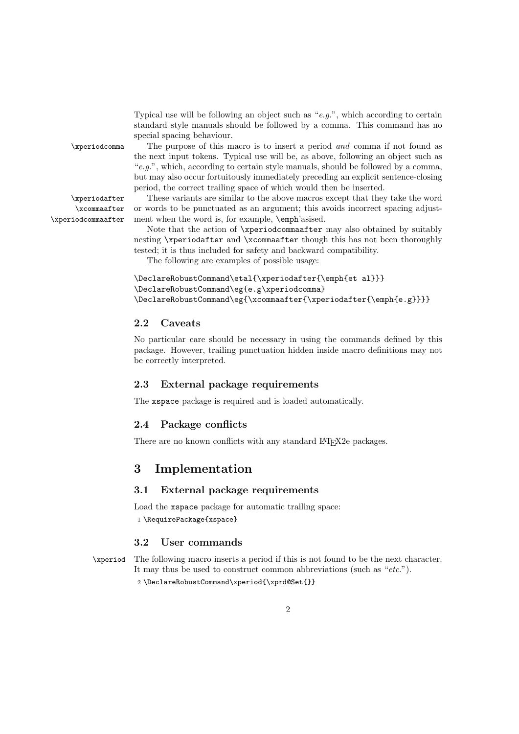Typical use will be following an object such as " $e.g."$ , which according to certain standard style manuals should be followed by a comma. This command has no special spacing behaviour.

\xcommaafter \xperiodcommaafter

\xperiodcomma The purpose of this macro is to insert a period and comma if not found as the next input tokens. Typical use will be, as above, following an object such as "e.g.", which, according to certain style manuals, should be followed by a comma, but may also occur fortuitously immediately preceding an explicit sentence-closing period, the correct trailing space of which would then be inserted.

\xperiodafter These variants are similar to the above macros except that they take the word or words to be punctuated as an argument; this avoids incorrect spacing adjustment when the word is, for example, \emph'asised.

> Note that the action of \xperiodcommaafter may also obtained by suitably nesting \xperiodafter and \xcommaafter though this has not been thoroughly tested; it is thus included for safety and backward compatibility.

The following are examples of possible usage:

```
\DeclareRobustCommand\etal{\xperiodafter{\emph{et al}}}
\DeclareRobustCommand\eg{e.g\xperiodcomma}
\DeclareRobustCommand\eg{\xcommaafter{\xperiodafter{\emph{e.g}}}}
```
#### 2.2 Caveats

No particular care should be necessary in using the commands defined by this package. However, trailing punctuation hidden inside macro definitions may not be correctly interpreted.

#### 2.3 External package requirements

The xspace package is required and is loaded automatically.

#### 2.4 Package conflicts

There are no known conflicts with any standard LAT<sub>E</sub>X2e packages.

## 3 Implementation

### 3.1 External package requirements

Load the xspace package for automatic trailing space: 1 \RequirePackage{xspace}

#### 3.2 User commands

\xperiod The following macro inserts a period if this is not found to be the next character. It may thus be used to construct common abbreviations (such as "*etc.*"). 2 \DeclareRobustCommand\xperiod{\xprd@Set{}}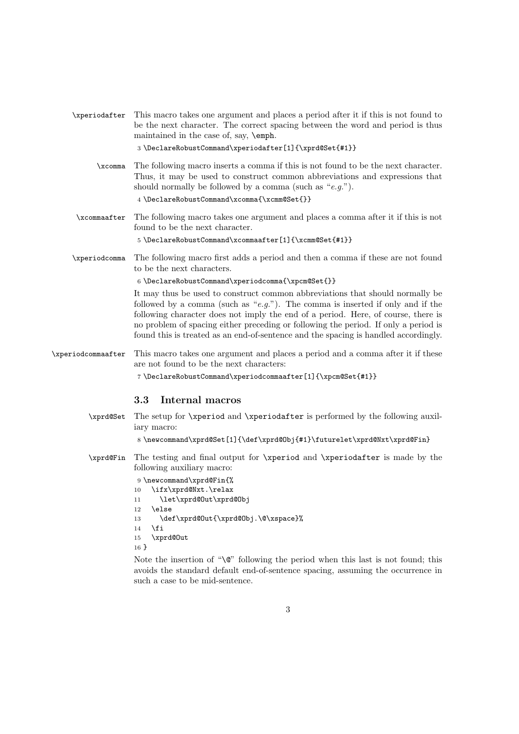| \xperiodafter      | This macro takes one argument and places a period after it if this is not found to<br>be the next character. The correct spacing between the word and period is thus<br>maintained in the case of, say, \emph.<br>3 \DeclareRobustCommand\xperiodafter[1]{\xprd@Set{#1}}                                                                                                                                                                                                                                                                                                                                          |
|--------------------|-------------------------------------------------------------------------------------------------------------------------------------------------------------------------------------------------------------------------------------------------------------------------------------------------------------------------------------------------------------------------------------------------------------------------------------------------------------------------------------------------------------------------------------------------------------------------------------------------------------------|
| xcomma             | The following macro inserts a comma if this is not found to be the next character.<br>Thus, it may be used to construct common abbreviations and expressions that<br>should normally be followed by a comma (such as " $e.g.$ ").<br>4 \DeclareRobustCommand\xcomma{\xcmm@Set{}}                                                                                                                                                                                                                                                                                                                                  |
| \xcommaafter       | The following macro takes one argument and places a comma after it if this is not<br>found to be the next character.<br>5 \DeclareRobustCommand\xcommaafter[1]{\xcmm@Set{#1}}                                                                                                                                                                                                                                                                                                                                                                                                                                     |
| \xperiodcomma      | The following macro first adds a period and then a comma if these are not found<br>to be the next characters.<br>$6 \text{DeclareRobustCommand\xperiod{}comma{\xpcm@Set}\}$<br>It may thus be used to construct common abbreviations that should normally be<br>followed by a comma (such as "e.g."). The comma is inserted if only and if the<br>following character does not imply the end of a period. Here, of course, there is<br>no problem of spacing either preceding or following the period. If only a period is<br>found this is treated as an end-of-sentence and the spacing is handled accordingly. |
| \xperiodcommaafter | This macro takes one argument and places a period and a comma after it if these<br>are not found to be the next characters:<br>$\verb 7\DeclareRobustCommand\xperiodcommaafter[1]{\xpcm@Set{#1}} $<br>3.3<br>Internal macros                                                                                                                                                                                                                                                                                                                                                                                      |
| \xprd@Set          | The setup for <i>\xperiod</i> and <i>\xperiodafter</i> is performed by the following auxil-<br>iary macro:<br>8\newcommand\xprd@Set[1]{\def\xprd@Obj{#1}\futurelet\xprd@Nxt\xprd@Fin}                                                                                                                                                                                                                                                                                                                                                                                                                             |
| \xprd@Fin          | The testing and final output for <i>\xperiod</i> and <i>\xperiodafter</i> is made by the<br>following auxiliary macro:<br>9 \newcommand\xprd@Fin{%<br>\ifx\xprd@Nxt.\relax<br>10<br>\let\xprd@Out\xprd@Obj<br>11<br>\else<br>12<br>\def\xprd@Out{\xprd@Obj.\@\xspace}%<br>13<br>\fi<br>14<br>\xprd@0ut<br>$15\,$<br>$16 \}$                                                                                                                                                                                                                                                                                       |

Note the insertion of "\@" following the period when this last is not found; this avoids the standard default end-of-sentence spacing, assuming the occurrence in such a case to be mid-sentence.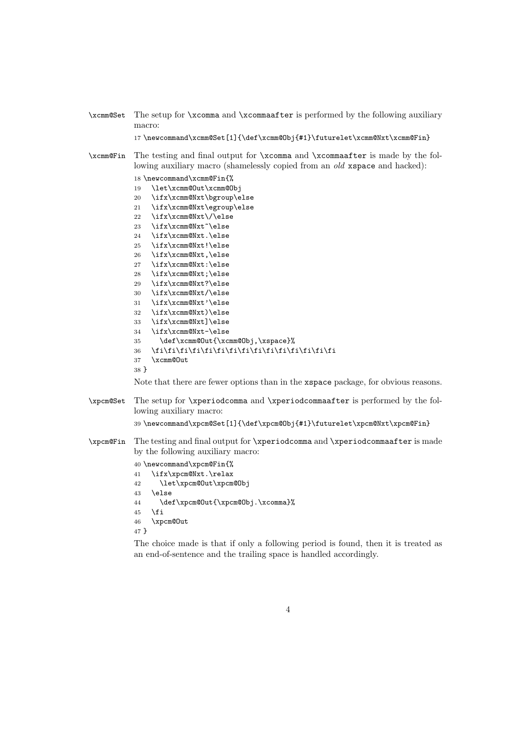```
\xcmm@Set The setup for \xcomma and \xcommaafter is performed by the following auxiliary
           macro:
           17 \newcommand\xcmm@Set[1]{\def\xcmm@Obj{#1}\futurelet\xcmm@Nxt\xcmm@Fin}
\xcmm@Fin The testing and final output for \xcomma and \xcommaafter is made by the fol-
           lowing auxiliary macro (shamelessly copied from an old xspace and hacked):
           18 \newcommand\xcmm@Fin{%
           19 \let\xcmm@Out\xcmm@Obj
           20 \ifx\xcmm@Nxt\bgroup\else
           21 \ifx\xcmm@Nxt\egroup\else
           22 \ifx\xcmm@Nxt\/\else
           23 \ifx\xcmm@Nxt~\else
           24 \ifx\xcmm@Nxt.\else
           25 \ifx\xcmm@Nxt!\else
           26 \ifx\xcmm@Nxt,\else
           27 \ifx\xcmm@Nxt:\else
           28 \ifx\xcmm@Nxt;\else
           29 \ifx\xcmm@Nxt?\else
           30 \ifx\xcmm@Nxt/\else
           31 \ifx\xcmm@Nxt'\else
           32 \ifx\xcmm@Nxt)\else
           33 \ifx\xcmm@Nxt]\else
           34 \ifx\xcmm@Nxt-\else
           35 \def\xcmm@Out{\xcmm@Obj,\xspace}%
           36 \fi\fi\fi\fi\fi\fi\fi\fi\fi\fi\fi\fi\fi\fi\fi
           37 \xcmm@Out
           38 }
           Note that there are fewer options than in the xspace package, for obvious reasons.
\xpcm@Set The setup for \xperiodcomma and \xperiodcommaafter is performed by the fol-
           lowing auxiliary macro:
           39 \newcommand\xpcm@Set[1]{\def\xpcm@Obj{#1}\futurelet\xpcm@Nxt\xpcm@Fin}
\xpcm@Fin The testing and final output for \xperiodcomma and \xperiodcommaafter is made
           by the following auxiliary macro:
           40 \newcommand\xpcm@Fin{%
           41 \ifx\xpcm@Nxt.\relax
           42 \let\xpcm@Out\xpcm@Obj
           43 \else
           44 \def\xpcm@Out{\xpcm@Obj.\xcomma}%
           45 \fi
           46 \xpcm@Out
           47 }
```
The choice made is that if only a following period is found, then it is treated as an end-of-sentence and the trailing space is handled accordingly.